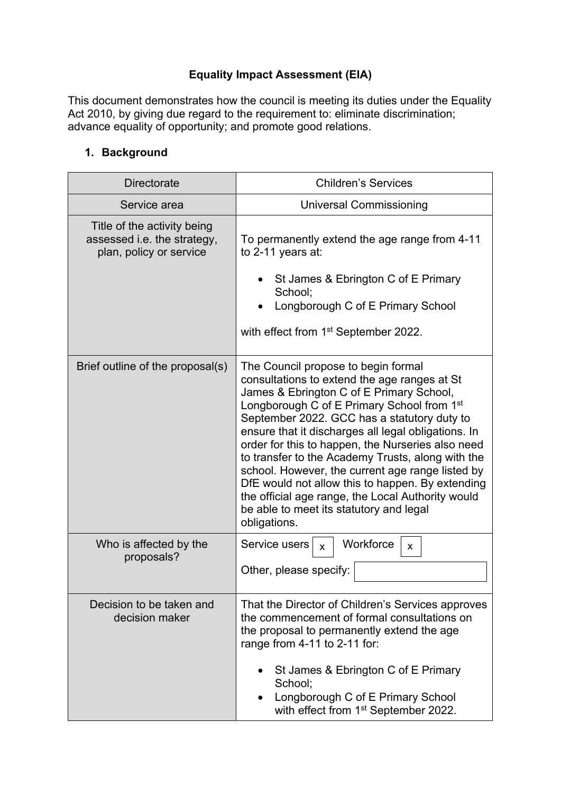# **Equality Impact Assessment (EIA)**

This document demonstrates how the council is meeting its duties under the Equality Act 2010, by giving due regard to the requirement to: eliminate discrimination; advance equality of opportunity; and promote good relations.

## **1. Background**

| <b>Directorate</b>                                                                    | <b>Children's Services</b>                                                                                                                                                                                                                                                                                                                                                                                                                                                                                                                                                                                                        |  |
|---------------------------------------------------------------------------------------|-----------------------------------------------------------------------------------------------------------------------------------------------------------------------------------------------------------------------------------------------------------------------------------------------------------------------------------------------------------------------------------------------------------------------------------------------------------------------------------------------------------------------------------------------------------------------------------------------------------------------------------|--|
| Service area                                                                          | Universal Commissioning                                                                                                                                                                                                                                                                                                                                                                                                                                                                                                                                                                                                           |  |
| Title of the activity being<br>assessed i.e. the strategy,<br>plan, policy or service | To permanently extend the age range from 4-11<br>to 2-11 years at:<br>St James & Ebrington C of E Primary<br>School;<br>Longborough C of E Primary School<br>with effect from 1 <sup>st</sup> September 2022.                                                                                                                                                                                                                                                                                                                                                                                                                     |  |
| Brief outline of the proposal(s)                                                      | The Council propose to begin formal<br>consultations to extend the age ranges at St<br>James & Ebrington C of E Primary School,<br>Longborough C of E Primary School from 1 <sup>st</sup><br>September 2022. GCC has a statutory duty to<br>ensure that it discharges all legal obligations. In<br>order for this to happen, the Nurseries also need<br>to transfer to the Academy Trusts, along with the<br>school. However, the current age range listed by<br>DfE would not allow this to happen. By extending<br>the official age range, the Local Authority would<br>be able to meet its statutory and legal<br>obligations. |  |
| Who is affected by the<br>proposals?                                                  | Workforce<br>Service users<br>$\mathbf{x}$<br>X<br>Other, please specify:                                                                                                                                                                                                                                                                                                                                                                                                                                                                                                                                                         |  |
| Decision to be taken and<br>decision maker                                            | That the Director of Children's Services approves<br>the commencement of formal consultations on<br>the proposal to permanently extend the age<br>range from 4-11 to 2-11 for:<br>St James & Ebrington C of E Primary<br>School;<br>Longborough C of E Primary School<br>with effect from 1 <sup>st</sup> September 2022.                                                                                                                                                                                                                                                                                                         |  |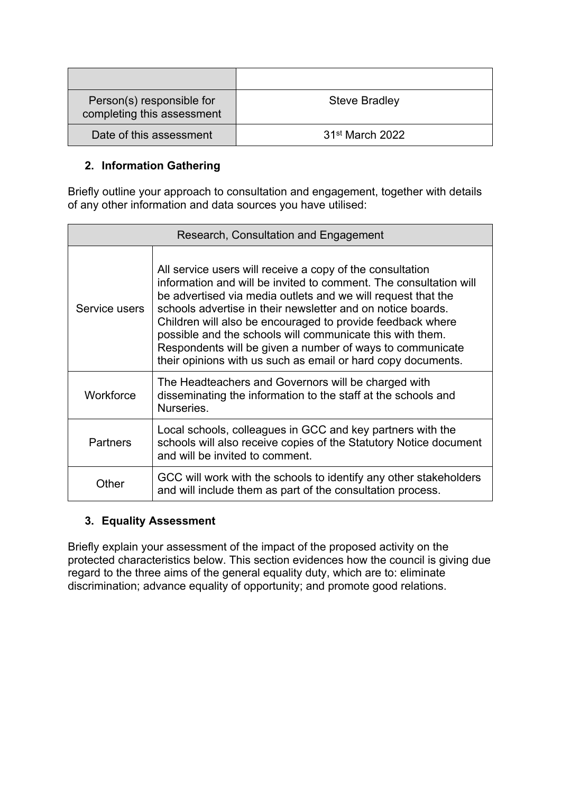| Person(s) responsible for<br>completing this assessment | <b>Steve Bradley</b>        |
|---------------------------------------------------------|-----------------------------|
| Date of this assessment                                 | 31 <sup>st</sup> March 2022 |

## **2. Information Gathering**

Briefly outline your approach to consultation and engagement, together with details of any other information and data sources you have utilised:

| Research, Consultation and Engagement |                                                                                                                                                                                                                                                                                                                                                                                                                                                                                                                       |  |
|---------------------------------------|-----------------------------------------------------------------------------------------------------------------------------------------------------------------------------------------------------------------------------------------------------------------------------------------------------------------------------------------------------------------------------------------------------------------------------------------------------------------------------------------------------------------------|--|
| Service users                         | All service users will receive a copy of the consultation<br>information and will be invited to comment. The consultation will<br>be advertised via media outlets and we will request that the<br>schools advertise in their newsletter and on notice boards.<br>Children will also be encouraged to provide feedback where<br>possible and the schools will communicate this with them.<br>Respondents will be given a number of ways to communicate<br>their opinions with us such as email or hard copy documents. |  |
| Workforce                             | The Headteachers and Governors will be charged with<br>disseminating the information to the staff at the schools and<br>Nurseries.                                                                                                                                                                                                                                                                                                                                                                                    |  |
| <b>Partners</b>                       | Local schools, colleagues in GCC and key partners with the<br>schools will also receive copies of the Statutory Notice document<br>and will be invited to comment.                                                                                                                                                                                                                                                                                                                                                    |  |
| Other                                 | GCC will work with the schools to identify any other stakeholders<br>and will include them as part of the consultation process.                                                                                                                                                                                                                                                                                                                                                                                       |  |

## **3. Equality Assessment**

Briefly explain your assessment of the impact of the proposed activity on the protected characteristics below. This section evidences how the council is giving due regard to the three aims of the general equality duty, which are to: eliminate discrimination; advance equality of opportunity; and promote good relations.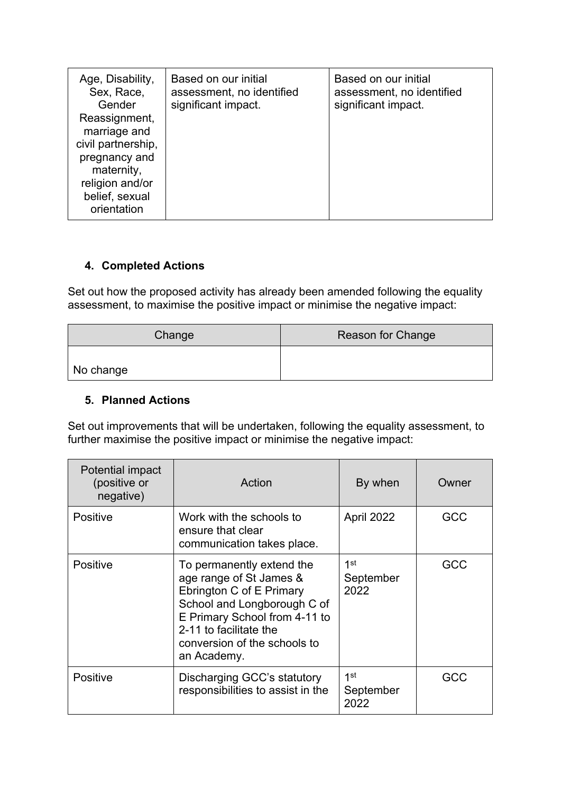| Age, Disability,<br>Sex, Race,<br>Gender<br>Reassignment,<br>marriage and<br>civil partnership,<br>pregnancy and<br>maternity,<br>religion and/or | Based on our initial<br>assessment, no identified<br>significant impact. | Based on our initial<br>assessment, no identified<br>significant impact. |
|---------------------------------------------------------------------------------------------------------------------------------------------------|--------------------------------------------------------------------------|--------------------------------------------------------------------------|
| belief, sexual<br>orientation                                                                                                                     |                                                                          |                                                                          |

## **4. Completed Actions**

Set out how the proposed activity has already been amended following the equality assessment, to maximise the positive impact or minimise the negative impact:

| Change    | Reason for Change |
|-----------|-------------------|
| No change |                   |

#### **5. Planned Actions**

Set out improvements that will be undertaken, following the equality assessment, to further maximise the positive impact or minimise the negative impact:

| Potential impact<br>(positive or<br>negative) | Action                                                                                                                                                                                                                    | By when                              | Owner |
|-----------------------------------------------|---------------------------------------------------------------------------------------------------------------------------------------------------------------------------------------------------------------------------|--------------------------------------|-------|
| <b>Positive</b>                               | Work with the schools to<br>ensure that clear<br>communication takes place.                                                                                                                                               | April 2022                           | GCC   |
| <b>Positive</b>                               | To permanently extend the<br>age range of St James &<br>Ebrington C of E Primary<br>School and Longborough C of<br>E Primary School from 4-11 to<br>2-11 to facilitate the<br>conversion of the schools to<br>an Academy. | 1st<br>September<br>2022             | GCC   |
| <b>Positive</b>                               | Discharging GCC's statutory<br>responsibilities to assist in the                                                                                                                                                          | 1 <sup>st</sup><br>September<br>2022 | GCC   |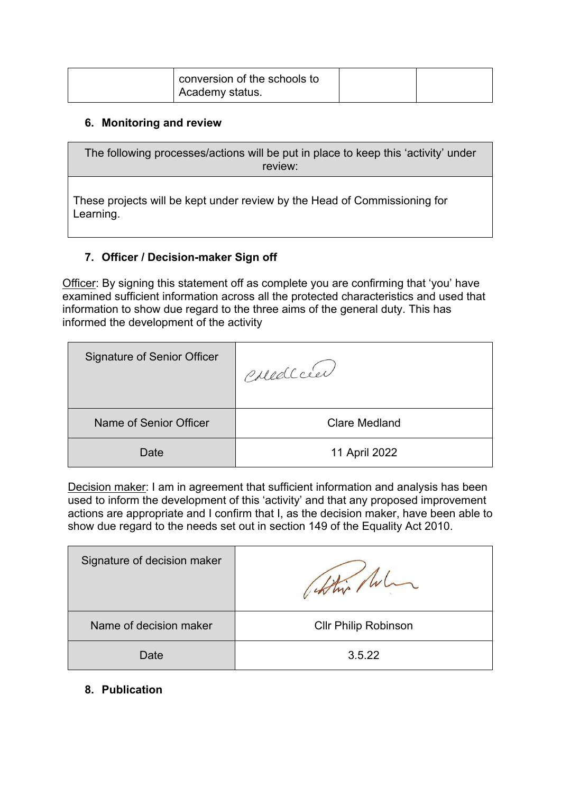| conversion of the schools to |  |
|------------------------------|--|
| ' Academy status.            |  |

#### **6. Monitoring and review**

The following processes/actions will be put in place to keep this 'activity' under review:

These projects will be kept under review by the Head of Commissioning for Learning.

#### **7. Officer / Decision-maker Sign off**

Officer: By signing this statement off as complete you are confirming that 'you' have examined sufficient information across all the protected characteristics and used that information to show due regard to the three aims of the general duty. This has informed the development of the activity

| <b>Signature of Senior Officer</b> | Corrella             |
|------------------------------------|----------------------|
| Name of Senior Officer             | <b>Clare Medland</b> |
| Date                               | 11 April 2022        |

Decision maker: I am in agreement that sufficient information and analysis has been used to inform the development of this 'activity' and that any proposed improvement actions are appropriate and I confirm that I, as the decision maker, have been able to show due regard to the needs set out in section 149 of the Equality Act 2010.

| Signature of decision maker |                             |
|-----------------------------|-----------------------------|
| Name of decision maker      | <b>CIIr Philip Robinson</b> |
| Date                        | 3.5.22                      |

**8. Publication**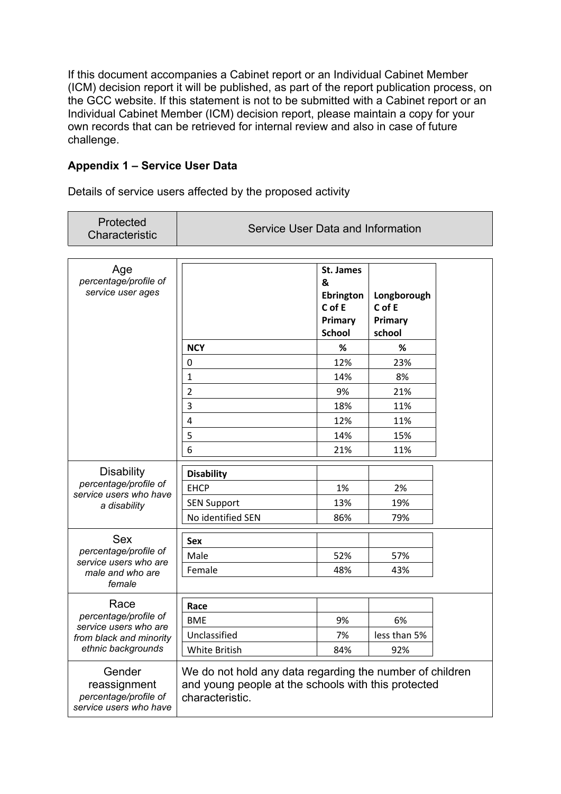If this document accompanies a Cabinet report or an Individual Cabinet Member (ICM) decision report it will be published, as part of the report publication process, on the GCC website. If this statement is not to be submitted with a Cabinet report or an Individual Cabinet Member (ICM) decision report, please maintain a copy for your own records that can be retrieved for internal review and also in case of future challenge.

#### **Appendix 1 – Service User Data**

Details of service users affected by the proposed activity

| Protected<br>Characteristic                                                                     | Service User Data and Information                                                                                                  |                                                                          |                                            |  |
|-------------------------------------------------------------------------------------------------|------------------------------------------------------------------------------------------------------------------------------------|--------------------------------------------------------------------------|--------------------------------------------|--|
| Age<br>percentage/profile of<br>service user ages                                               |                                                                                                                                    | St. James<br>&<br><b>Ebrington</b><br>C of E<br>Primary<br><b>School</b> | Longborough<br>C of E<br>Primary<br>school |  |
|                                                                                                 | <b>NCY</b>                                                                                                                         | %                                                                        | ℅                                          |  |
|                                                                                                 | 0                                                                                                                                  | 12%                                                                      | 23%                                        |  |
|                                                                                                 | $\mathbf{1}$                                                                                                                       | 14%                                                                      | 8%                                         |  |
|                                                                                                 | $\overline{2}$                                                                                                                     | 9%                                                                       | 21%                                        |  |
|                                                                                                 | 3                                                                                                                                  | 18%                                                                      | 11%                                        |  |
|                                                                                                 | $\overline{4}$                                                                                                                     | 12%                                                                      | 11%                                        |  |
|                                                                                                 | 5                                                                                                                                  | 14%                                                                      | 15%                                        |  |
|                                                                                                 | 6                                                                                                                                  | 21%                                                                      | 11%                                        |  |
| <b>Disability</b><br>percentage/profile of<br>service users who have<br>a disability            | <b>Disability</b><br><b>EHCP</b><br><b>SEN Support</b>                                                                             | 1%<br>13%                                                                | 2%<br>19%                                  |  |
|                                                                                                 | No identified SEN                                                                                                                  | 86%                                                                      | 79%                                        |  |
| <b>Sex</b>                                                                                      | <b>Sex</b>                                                                                                                         |                                                                          |                                            |  |
| percentage/profile of<br>service users who are                                                  | Male                                                                                                                               | 52%                                                                      | 57%                                        |  |
| male and who are<br>female                                                                      | Female                                                                                                                             | 48%                                                                      | 43%                                        |  |
| Race                                                                                            |                                                                                                                                    |                                                                          |                                            |  |
| percentage/profile of<br>service users who are<br>from black and minority<br>ethnic backgrounds | Race<br><b>BME</b>                                                                                                                 | 9%                                                                       | 6%                                         |  |
|                                                                                                 | Unclassified                                                                                                                       | 7%                                                                       | less than 5%                               |  |
|                                                                                                 | White British                                                                                                                      | 84%                                                                      | 92%                                        |  |
| Gender<br>reassignment<br>percentage/profile of<br>service users who have                       | We do not hold any data regarding the number of children<br>and young people at the schools with this protected<br>characteristic. |                                                                          |                                            |  |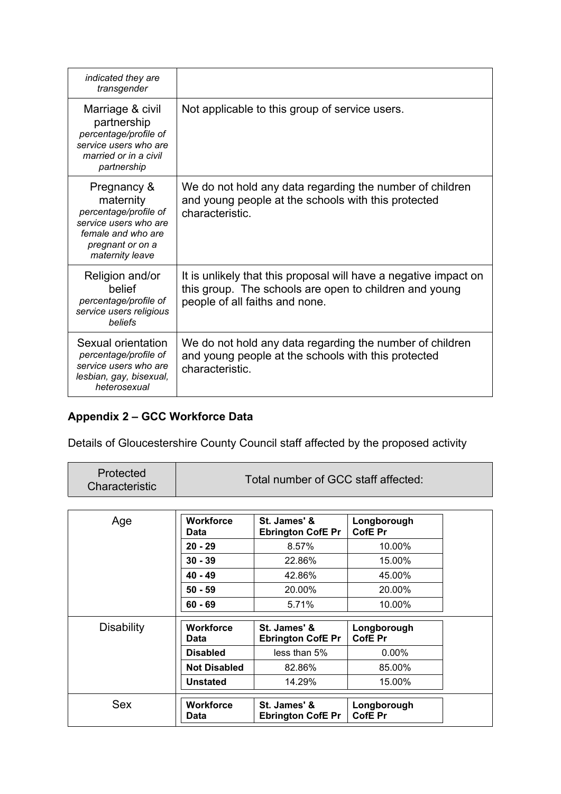| indicated they are<br>transgender                                                                                                       |                                                                                                                                                              |
|-----------------------------------------------------------------------------------------------------------------------------------------|--------------------------------------------------------------------------------------------------------------------------------------------------------------|
| Marriage & civil<br>partnership<br>percentage/profile of<br>service users who are<br>married or in a civil<br>partnership               | Not applicable to this group of service users.                                                                                                               |
| Pregnancy &<br>maternity<br>percentage/profile of<br>service users who are<br>female and who are<br>pregnant or on a<br>maternity leave | We do not hold any data regarding the number of children<br>and young people at the schools with this protected<br>characteristic.                           |
| Religion and/or<br>belief<br>percentage/profile of<br>service users religious<br>beliefs                                                | It is unlikely that this proposal will have a negative impact on<br>this group. The schools are open to children and young<br>people of all faiths and none. |
| Sexual orientation<br>percentage/profile of<br>service users who are<br>lesbian, gay, bisexual,<br>heterosexual                         | We do not hold any data regarding the number of children<br>and young people at the schools with this protected<br>characteristic.                           |

# **Appendix 2 – GCC Workforce Data**

Details of Gloucestershire County Council staff affected by the proposed activity

| Protected<br>Total number of GCC staff affected:<br>Characteristic |  |  |
|--------------------------------------------------------------------|--|--|
|--------------------------------------------------------------------|--|--|

| Age               | <b>Workforce</b><br>Data | St. James' &<br><b>Ebrington CofE Pr</b> | Longborough<br>CofE Pr |
|-------------------|--------------------------|------------------------------------------|------------------------|
|                   | $20 - 29$                | 8.57%                                    | 10.00%                 |
|                   | $30 - 39$                | 22.86%                                   | 15.00%                 |
|                   | $40 - 49$                | 42.86%                                   | 45.00%                 |
|                   | $50 - 59$                | 20.00%                                   | 20.00%                 |
|                   | $60 - 69$                | 5.71%                                    | 10.00%                 |
| <b>Disability</b> | <b>Workforce</b><br>Data | St. James' &<br><b>Ebrington CofE Pr</b> | Longborough<br>CofE Pr |
|                   | <b>Disabled</b>          | less than 5%                             | $0.00\%$               |
|                   |                          |                                          |                        |
|                   | <b>Not Disabled</b>      | 82.86%                                   | 85.00%                 |
|                   | <b>Unstated</b>          | 14.29%                                   | 15.00%                 |